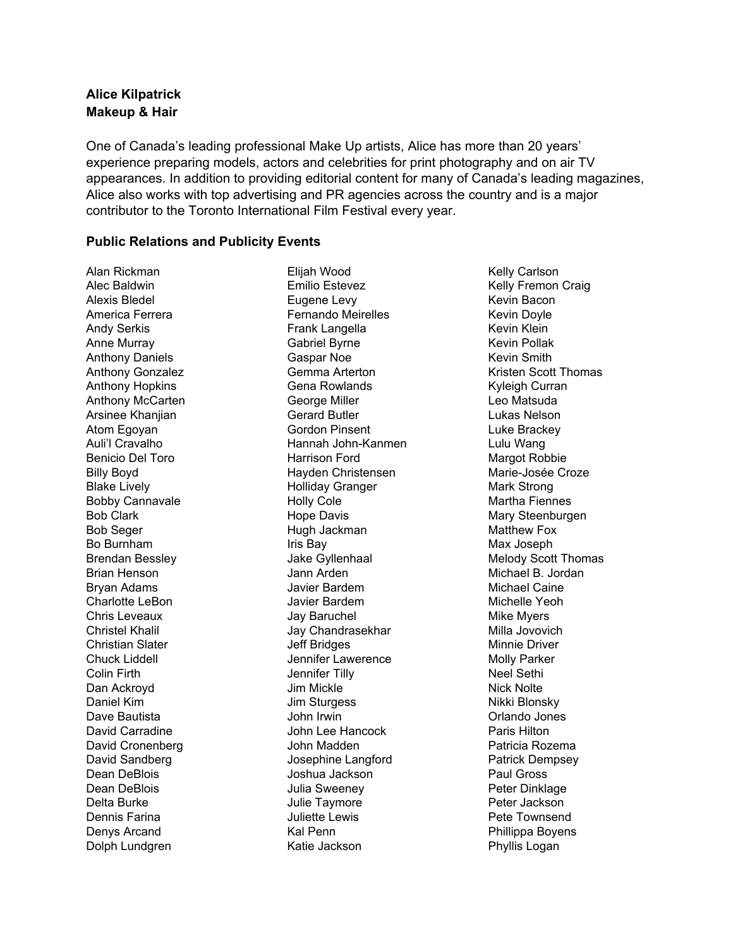## **Alice Kilpatrick Makeup & Hair**

One of Canada's leading professional Make Up artists, Alice has more than 20 years' experience preparing models, actors and celebrities for print photography and on air TV appearances. In addition to providing editorial content for many of Canada's leading magazines, Alice also works with top advertising and PR agencies across the country and is a major contributor to the Toronto International Film Festival every year.

## **Public Relations and Publicity Events**

Alan Rickman Alec Baldwin Alexis Bledel America Ferrera Andy Serkis Anne Murray Anthony Daniels Anthony Gonzalez Anthony Hopkins Anthony McCarten Arsinee Khanjian Atom Egoyan Auli'l Cravalho Benicio Del Toro Billy Boyd Blake Lively Bobby Cannavale Bob Clark Bob Seger Bo Burnham Brendan Bessley Brian Henson Bryan Adams Charlotte LeBon Chris Leveaux Christel Khalil Christian Slater Chuck Liddell Colin Firth Dan Ackroyd Daniel Kim Dave Bautista David Carradine David Cronenberg David Sandberg Dean DeBlois Dean DeBlois Delta Burke Dennis Farina Denys Arcand Dolph Lundgren

Elijah Wood Emilio Estevez Eugene Levy Fernando Meirelles Frank Langella Gabriel Byrne Gaspar Noe Gemma Arterton Gena Rowlands George Miller Gerard Butler Gordon Pinsent Hannah John-Kanmen Harrison Ford Hayden Christensen Holliday Granger Holly Cole Hope Davis Hugh Jackman Iris Bay Jake Gyllenhaal Jann Arden Javier Bardem Javier Bardem Jay Baruchel Jay Chandrasekhar Jeff Bridges Jennifer Lawerence Jennifer Tilly Jim Mickle Jim Sturgess John Irwin John Lee Hancock John Madden Josephine Langford Joshua Jackson Julia Sweeney Julie Taymore Juliette Lewis Kal Penn Katie Jackson

Kelly Carlson Kelly Fremon Craig Kevin Bacon Kevin Doyle Kevin Klein Kevin Pollak Kevin Smith Kristen Scott Thomas Kyleigh Curran Leo Matsuda Lukas Nelson Luke Brackey Lulu Wang Margot Robbie Marie-Josée Croze Mark Strong Martha Fiennes Mary Steenburgen Matthew Fox Max Joseph Melody Scott Thomas Michael B. Jordan Michael Caine Michelle Yeoh Mike Myers Milla Jovovich Minnie Driver Molly Parker Neel Sethi Nick Nolte Nikki Blonsky Orlando Jones Paris Hilton Patricia Rozema Patrick Dempsey Paul Gross Peter Dinklage Peter Jackson Pete Townsend Phillippa Boyens Phyllis Logan